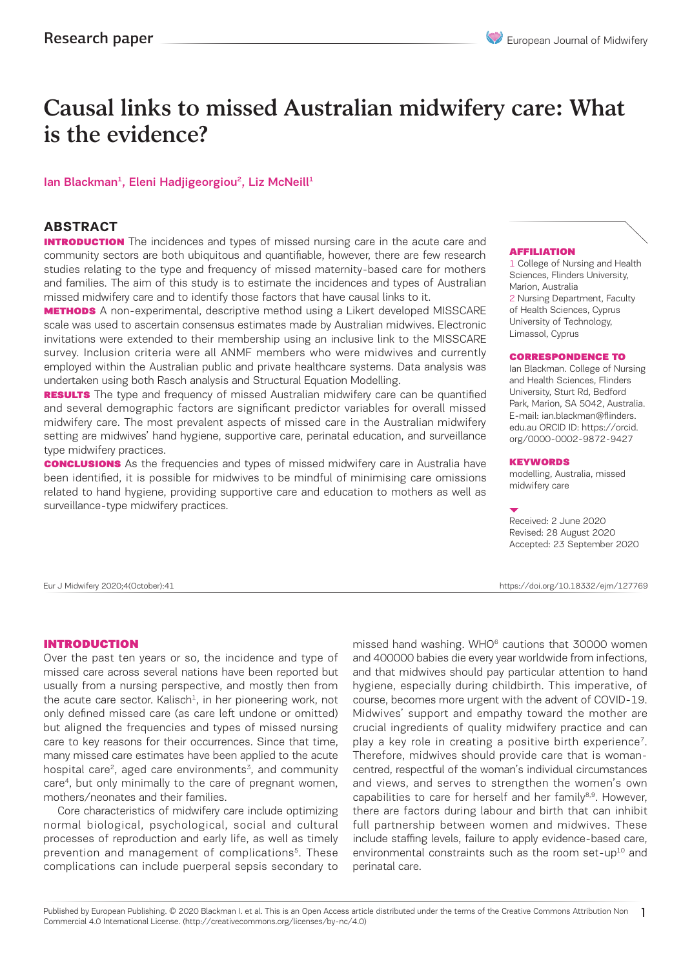# Causal links to missed Australian midwifery care: What is the evidence?

#### Ian Blackman<sup>1</sup>, Eleni Hadjigeorgiou<sup>2</sup>, Liz McNeill<sup>1</sup>

#### **ABSTRACT**

**INTRODUCTION** The incidences and types of missed nursing care in the acute care and community sectors are both ubiquitous and quantifiable, however, there are few research studies relating to the type and frequency of missed maternity-based care for mothers and families. The aim of this study is to estimate the incidences and types of Australian missed midwifery care and to identify those factors that have causal links to it.

**METHODS** A non-experimental, descriptive method using a Likert developed MISSCARE scale was used to ascertain consensus estimates made by Australian midwives. Electronic invitations were extended to their membership using an inclusive link to the MISSCARE survey. Inclusion criteria were all ANMF members who were midwives and currently employed within the Australian public and private healthcare systems. Data analysis was undertaken using both Rasch analysis and Structural Equation Modelling.

**RESULTS** The type and frequency of missed Australian midwifery care can be quantified and several demographic factors are significant predictor variables for overall missed midwifery care. The most prevalent aspects of missed care in the Australian midwifery setting are midwives' hand hygiene, supportive care, perinatal education, and surveillance type midwifery practices.

**CONCLUSIONS** As the frequencies and types of missed midwifery care in Australia have been identified, it is possible for midwives to be mindful of minimising care omissions related to hand hygiene, providing supportive care and education to mothers as well as surveillance-type midwifery practices.

#### **AFFILIATION**

1 College of Nursing and Health Sciences, Flinders University, Marion, Australia 2 Nursing Department, Faculty of Health Sciences, Cyprus University of Technology, Limassol, Cyprus

#### CORRESPONDENCE TO

Ian Blackman. College of Nursing and Health Sciences, Flinders University, Sturt Rd, Bedford Park, Marion, SA 5042, Australia. E-mail: ian.blackman@flinders. edu.au ORCID ID: https://orcid org/0000-0002-9872-9427

#### **KEYWORDS**

modelling, Australia, missed midwifery care

Received: 2 June 2020 Revised: 28 August 2020 Accepted: 23 September 2020

Eur J Midwifery 2020;4(October):41 https://doi.org/10.18332/ejm/127769

#### INTRODUCTION

Over the past ten years or so, the incidence and type of missed care across several nations have been reported but usually from a nursing perspective, and mostly then from the acute care sector. Kalisch<sup>1</sup>, in her pioneering work, not only defined missed care (as care left undone or omitted) but aligned the frequencies and types of missed nursing care to key reasons for their occurrences. Since that time, many missed care estimates have been applied to the acute hospital care<sup>2</sup>, aged care environments<sup>3</sup>, and community care4, but only minimally to the care of pregnant women, mothers/neonates and their families.

Core characteristics of midwifery care include optimizing normal biological, psychological, social and cultural processes of reproduction and early life, as well as timely prevention and management of complications<sup>5</sup>. These complications can include puerperal sepsis secondary to

missed hand washing. WHO<sup>6</sup> cautions that 30000 women and 400000 babies die every year worldwide from infections, and that midwives should pay particular attention to hand hygiene, especially during childbirth. This imperative, of course, becomes more urgent with the advent of COVID-19. Midwives' support and empathy toward the mother are crucial ingredients of quality midwifery practice and can play a key role in creating a positive birth experience<sup>7</sup>. Therefore, midwives should provide care that is womancentred, respectful of the woman's individual circumstances and views, and serves to strengthen the women's own capabilities to care for herself and her family<sup>8,9</sup>. However, there are factors during labour and birth that can inhibit full partnership between women and midwives. These include staffing levels, failure to apply evidence-based care, environmental constraints such as the room set-up $10$  and perinatal care.

Published by European Publishing. © 2020 Blackman I. et al. This is an Open Access article distributed under the terms of the Creative Commons Attribution Non<br>Commercial 4.0 International Liegnes (http://erective.commons.o Commercial 4.0 International License. (http://creativecommons.org/licenses/by-nc/4.0)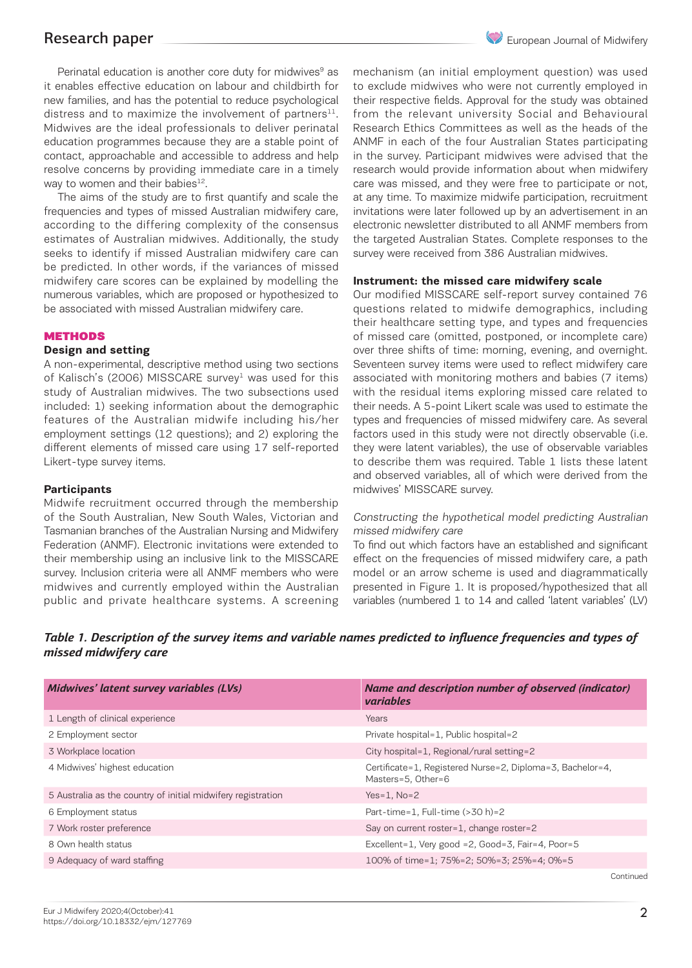Perinatal education is another core duty for midwives<sup>9</sup> as it enables effective education on labour and childbirth for new families, and has the potential to reduce psychological distress and to maximize the involvement of partners $^{11}$ . Midwives are the ideal professionals to deliver perinatal education programmes because they are a stable point of contact, approachable and accessible to address and help resolve concerns by providing immediate care in a timely way to women and their babies $^{12}$ .

The aims of the study are to first quantify and scale the frequencies and types of missed Australian midwifery care, according to the differing complexity of the consensus estimates of Australian midwives. Additionally, the study seeks to identify if missed Australian midwifery care can be predicted. In other words, if the variances of missed midwifery care scores can be explained by modelling the numerous variables, which are proposed or hypothesized to be associated with missed Australian midwifery care.

#### **METHODS**

#### **Design and setting**

A non-experimental, descriptive method using two sections of Kalisch's (2006) MISSCARE survey<sup>1</sup> was used for this study of Australian midwives. The two subsections used included: 1) seeking information about the demographic features of the Australian midwife including his/her employment settings (12 questions); and 2) exploring the different elements of missed care using 17 self-reported Likert-type survey items.

#### **Participants**

Midwife recruitment occurred through the membership of the South Australian, New South Wales, Victorian and Tasmanian branches of the Australian Nursing and Midwifery Federation (ANMF). Electronic invitations were extended to their membership using an inclusive link to the MISSCARE survey. Inclusion criteria were all ANMF members who were midwives and currently employed within the Australian public and private healthcare systems. A screening

mechanism (an initial employment question) was used to exclude midwives who were not currently employed in their respective fields. Approval for the study was obtained from the relevant university Social and Behavioural Research Ethics Committees as well as the heads of the ANMF in each of the four Australian States participating in the survey. Participant midwives were advised that the research would provide information about when midwifery care was missed, and they were free to participate or not, at any time. To maximize midwife participation, recruitment invitations were later followed up by an advertisement in an electronic newsletter distributed to all ANMF members from the targeted Australian States. Complete responses to the survey were received from 386 Australian midwives.

#### **Instrument: the missed care midwifery scale**

Our modified MISSCARE self-report survey contained 76 questions related to midwife demographics, including their healthcare setting type, and types and frequencies of missed care (omitted, postponed, or incomplete care) over three shifts of time: morning, evening, and overnight. Seventeen survey items were used to reflect midwifery care associated with monitoring mothers and babies (7 items) with the residual items exploring missed care related to their needs. A 5-point Likert scale was used to estimate the types and frequencies of missed midwifery care. As several factors used in this study were not directly observable (i.e. they were latent variables), the use of observable variables to describe them was required. Table 1 lists these latent and observed variables, all of which were derived from the midwives' MISSCARE survey.

#### Constructing the hypothetical model predicting Australian missed midwifery care

To find out which factors have an established and significant effect on the frequencies of missed midwifery care, a path model or an arrow scheme is used and diagrammatically presented in Figure 1. It is proposed/hypothesized that all variables (numbered 1 to 14 and called 'latent variables' (LV)

### *Table 1. Description of the survey items and variable names predicted to influence frequencies and types of missed midwifery care*

| Midwives' latent survey variables (LVs)                      | Name and description number of observed (indicator)<br>variables                |
|--------------------------------------------------------------|---------------------------------------------------------------------------------|
| 1 Length of clinical experience                              | Years                                                                           |
| 2 Employment sector                                          | Private hospital=1, Public hospital=2                                           |
| 3 Workplace location                                         | City hospital=1, Regional/rural setting=2                                       |
| 4 Midwives' highest education                                | Certificate=1, Registered Nurse=2, Diploma=3, Bachelor=4,<br>Masters=5, Other=6 |
| 5 Australia as the country of initial midwifery registration | $Yes=1. No=2$                                                                   |
| 6 Employment status                                          | Part-time=1, Full-time (>30 h)=2                                                |
| 7 Work roster preference                                     | Say on current roster=1, change roster=2                                        |
| 8 Own health status                                          | Excellent=1, Very good =2, Good=3, Fair=4, Poor=5                               |
| 9 Adequacy of ward staffing                                  | 100% of time=1; 75%=2; 50%=3; 25%=4; 0%=5                                       |
|                                                              | Continued                                                                       |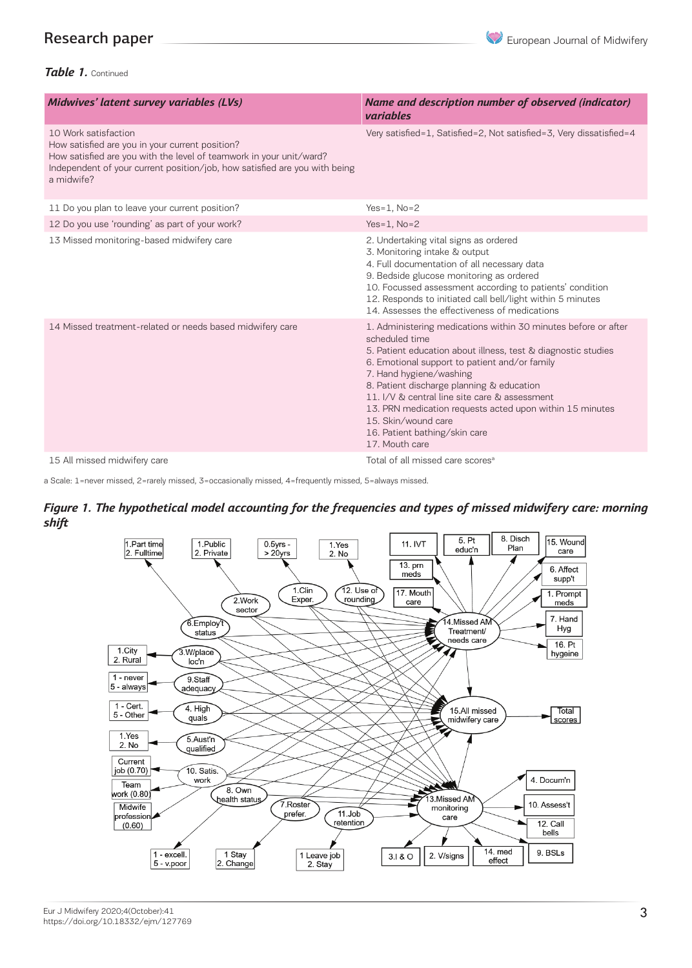# Research paper

#### *Table 1.* Continued

| Midwives' latent survey variables (LVs)                                                                                                                                                                                                    | Name and description number of observed (indicator)<br>variables                                                                                                                                                                                                                                                                                                                                                                                                  |
|--------------------------------------------------------------------------------------------------------------------------------------------------------------------------------------------------------------------------------------------|-------------------------------------------------------------------------------------------------------------------------------------------------------------------------------------------------------------------------------------------------------------------------------------------------------------------------------------------------------------------------------------------------------------------------------------------------------------------|
| 10 Work satisfaction<br>How satisfied are you in your current position?<br>How satisfied are you with the level of teamwork in your unit/ward?<br>Independent of your current position/job, how satisfied are you with being<br>a midwife? | Very satisfied=1, Satisfied=2, Not satisfied=3, Very dissatisfied=4                                                                                                                                                                                                                                                                                                                                                                                               |
| 11 Do you plan to leave your current position?                                                                                                                                                                                             | $Yes=1, No=2$                                                                                                                                                                                                                                                                                                                                                                                                                                                     |
| 12 Do you use 'rounding' as part of your work?                                                                                                                                                                                             | $Yes=1, No=2$                                                                                                                                                                                                                                                                                                                                                                                                                                                     |
| 13 Missed monitoring-based midwifery care                                                                                                                                                                                                  | 2. Undertaking vital signs as ordered<br>3. Monitoring intake & output<br>4. Full documentation of all necessary data<br>9. Bedside glucose monitoring as ordered<br>10. Focussed assessment according to patients' condition<br>12. Responds to initiated call bell/light within 5 minutes<br>14. Assesses the effectiveness of medications                                                                                                                      |
| 14 Missed treatment-related or needs based midwifery care                                                                                                                                                                                  | 1. Administering medications within 30 minutes before or after<br>scheduled time<br>5. Patient education about illness, test & diagnostic studies<br>6. Emotional support to patient and/or family<br>7. Hand hygiene/washing<br>8. Patient discharge planning & education<br>11. I/V & central line site care & assessment<br>13. PRN medication requests acted upon within 15 minutes<br>15. Skin/wound care<br>16. Patient bathing/skin care<br>17. Mouth care |
| 15 All missed midwifery care                                                                                                                                                                                                               | Total of all missed care scores <sup>a</sup>                                                                                                                                                                                                                                                                                                                                                                                                                      |

a Scale: 1=never missed, 2=rarely missed, 3=occasionally missed, 4=frequently missed, 5=always missed.



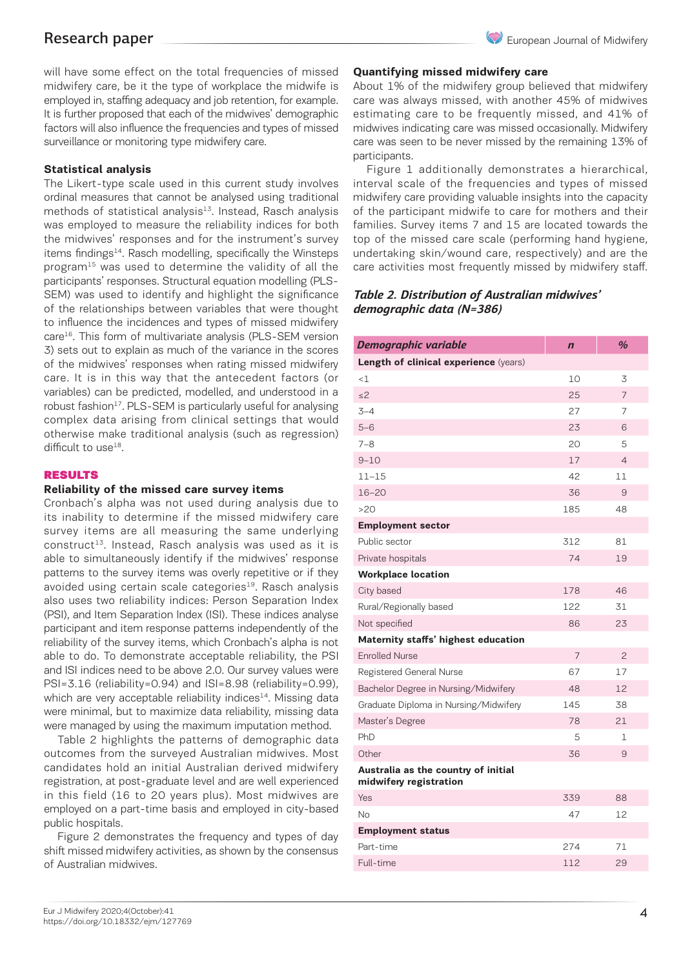# Research paper

will have some effect on the total frequencies of missed midwifery care, be it the type of workplace the midwife is employed in, staffing adequacy and job retention, for example. It is further proposed that each of the midwives' demographic factors will also influence the frequencies and types of missed surveillance or monitoring type midwifery care.

### **Statistical analysis**

The Likert-type scale used in this current study involves ordinal measures that cannot be analysed using traditional methods of statistical analysis $13$ . Instead, Rasch analysis was employed to measure the reliability indices for both the midwives' responses and for the instrument's survey items findings<sup>14</sup>. Rasch modelling, specifically the Winsteps program<sup>15</sup> was used to determine the validity of all the participants' responses. Structural equation modelling (PLS-SEM) was used to identify and highlight the significance of the relationships between variables that were thought to influence the incidences and types of missed midwifery care<sup>16</sup>. This form of multivariate analysis (PLS-SEM version 3) sets out to explain as much of the variance in the scores of the midwives' responses when rating missed midwifery care. It is in this way that the antecedent factors (or variables) can be predicted, modelled, and understood in a robust fashion<sup>17</sup>. PLS-SEM is particularly useful for analysing complex data arising from clinical settings that would otherwise make traditional analysis (such as regression) difficult to use<sup>18</sup>.

#### RESULTS

#### **Reliability of the missed care survey items**

Cronbach's alpha was not used during analysis due to its inability to determine if the missed midwifery care survey items are all measuring the same underlying construct<sup>13</sup>. Instead, Rasch analysis was used as it is able to simultaneously identify if the midwives' response patterns to the survey items was overly repetitive or if they avoided using certain scale categories<sup>19</sup>. Rasch analysis also uses two reliability indices: Person Separation Index (PSI), and Item Separation Index (ISI). These indices analyse participant and item response patterns independently of the reliability of the survey items, which Cronbach's alpha is not able to do. To demonstrate acceptable reliability, the PSI and ISI indices need to be above 2.0. Our survey values were PSI=3.16 (reliability=0.94) and ISI=8.98 (reliability=0.99), which are very acceptable reliability indices $14$ . Missing data were minimal, but to maximize data reliability, missing data were managed by using the maximum imputation method.

Table 2 highlights the patterns of demographic data outcomes from the surveyed Australian midwives. Most candidates hold an initial Australian derived midwifery registration, at post-graduate level and are well experienced in this field (16 to 20 years plus). Most midwives are employed on a part-time basis and employed in city-based public hospitals.

Figure 2 demonstrates the frequency and types of day shift missed midwifery activities, as shown by the consensus of Australian midwives.

#### **Quantifying missed midwifery care**

About 1% of the midwifery group believed that midwifery care was always missed, with another 45% of midwives estimating care to be frequently missed, and 41% of midwives indicating care was missed occasionally. Midwifery care was seen to be never missed by the remaining 13% of participants.

Figure 1 additionally demonstrates a hierarchical, interval scale of the frequencies and types of missed midwifery care providing valuable insights into the capacity of the participant midwife to care for mothers and their families. Survey items 7 and 15 are located towards the top of the missed care scale (performing hand hygiene, undertaking skin/wound care, respectively) and are the care activities most frequently missed by midwifery staff.

### *Table 2. Distribution of Australian midwives' demographic data (N=386)*

| <b>Demographic variable</b>                                   | $\mathbf n$    | %              |  |  |
|---------------------------------------------------------------|----------------|----------------|--|--|
| Length of clinical experience (years)                         |                |                |  |  |
| <1                                                            | 10             | 3              |  |  |
| $\leq$ 2                                                      | 25             | 7              |  |  |
| $3 - 4$                                                       | 27             | 7              |  |  |
| $5 - 6$                                                       | 23             | 6              |  |  |
| $7 - 8$                                                       | 20             | 5              |  |  |
| $9 - 10$                                                      | 17             | 4              |  |  |
| $11 - 15$                                                     | 42             | 11             |  |  |
| $16 - 20$                                                     | 36             | 9              |  |  |
| >20                                                           | 185            | 48             |  |  |
| <b>Employment sector</b>                                      |                |                |  |  |
| Public sector                                                 | 312            | 81             |  |  |
| Private hospitals                                             | 74             | 19             |  |  |
| <b>Workplace location</b>                                     |                |                |  |  |
| City based                                                    | 178            | 46             |  |  |
| Rural/Regionally based                                        | 122            | 31             |  |  |
| Not specified                                                 | 86             | 23             |  |  |
| Maternity staffs' highest education                           |                |                |  |  |
| <b>Enrolled Nurse</b>                                         | $\overline{7}$ | $\overline{c}$ |  |  |
| Registered General Nurse                                      | 67             | 17             |  |  |
| Bachelor Degree in Nursing/Midwifery                          | 48             | 12             |  |  |
| Graduate Diploma in Nursing/Midwifery                         | 145            | 38             |  |  |
| Master's Degree                                               | 78             | 21             |  |  |
| PhD                                                           | 5              | 1              |  |  |
| Other                                                         | 36             | 9              |  |  |
| Australia as the country of initial<br>midwifery registration |                |                |  |  |
| Yes                                                           | 339            | 88             |  |  |
| No                                                            | 47             | 12             |  |  |
| <b>Employment status</b>                                      |                |                |  |  |
| Part-time                                                     | 274            | 71             |  |  |
| Full-time                                                     | 112            | 29             |  |  |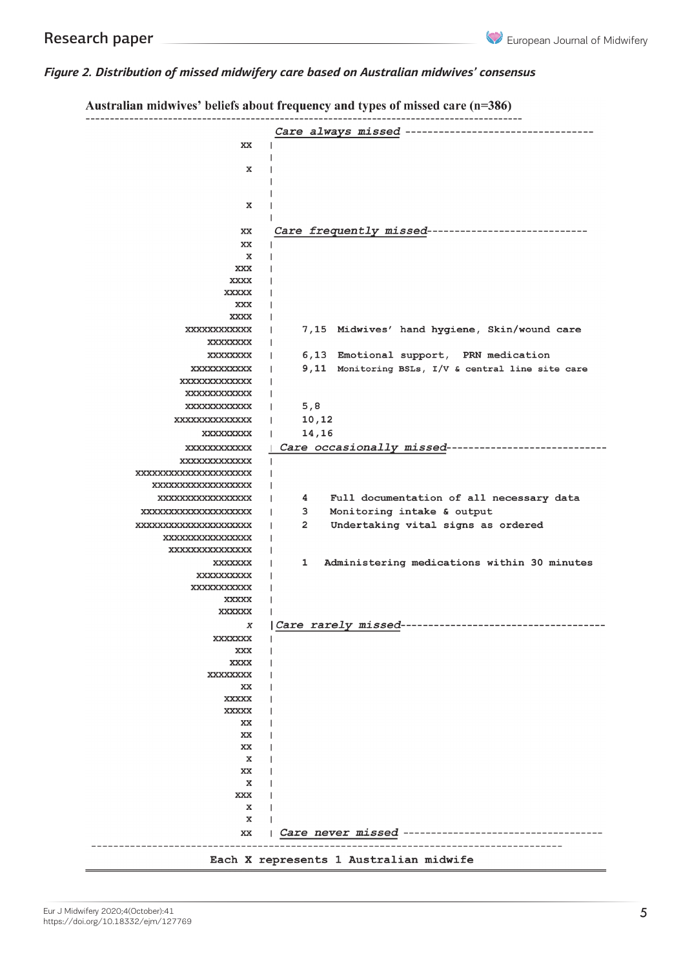## *Figure 2. Distribution of missed midwifery care based on Australian midwives' consensus*

|  | Australian midwives' beliefs about frequency and types of missed care (n=386) |
|--|-------------------------------------------------------------------------------|
|  |                                                                               |

|                                        | Care always missed ----------------------                          |  |  |
|----------------------------------------|--------------------------------------------------------------------|--|--|
| XX                                     |                                                                    |  |  |
|                                        |                                                                    |  |  |
| х                                      |                                                                    |  |  |
|                                        |                                                                    |  |  |
|                                        |                                                                    |  |  |
| x                                      |                                                                    |  |  |
|                                        |                                                                    |  |  |
| XX                                     | Care frequently missed---------<br>------------                    |  |  |
| XX                                     |                                                                    |  |  |
| x                                      |                                                                    |  |  |
| XXX                                    |                                                                    |  |  |
| <b>XXXX</b>                            |                                                                    |  |  |
| XXXXX                                  |                                                                    |  |  |
| XXX                                    |                                                                    |  |  |
| <b>XXXX</b>                            |                                                                    |  |  |
| XXXXXXXXXXXX                           | 7,15 Midwives' hand hygiene, Skin/wound care                       |  |  |
| XXXXXXXX                               |                                                                    |  |  |
| XXXXXXXX                               | 6,13 Emotional support, PRN medication<br>L                        |  |  |
| XXXXXXXXXXX                            | 9,11 Monitoring BSLs, I/V & central line site care                 |  |  |
| XXXXXXXXXXXXX                          |                                                                    |  |  |
| XXXXXXXXXXXX                           | L                                                                  |  |  |
| XXXXXXXXXXXX                           | 5,8                                                                |  |  |
| XXXXXXXXXXXXXX                         | 10, 12<br>L                                                        |  |  |
| XXXXXXXXX                              | 14,16                                                              |  |  |
| XXXXXXXXXXXX                           | Care occasionally missed--------------                             |  |  |
| XXXXXXXXXXXXX                          | $\mathbf{I}$                                                       |  |  |
| XXXXXXXXXXXXXXXXXXXXX                  | ı                                                                  |  |  |
| XXXXXXXXXXXXXXXXXX                     |                                                                    |  |  |
| XXXXXXXXXXXXXXXXX                      | 4<br>Full documentation of all necessary data                      |  |  |
| XXXXXXXXXXXXXXXXXXXX                   | з<br>Monitoring intake & output                                    |  |  |
| XXXXXXXXXXXXXXXXXXXXX                  | $\overline{\mathbf{2}}$<br>Undertaking vital signs as ordered<br>L |  |  |
| XXXXXXXXXXXXXXXX                       | L                                                                  |  |  |
| XXXXXXXXXXXXXXX                        |                                                                    |  |  |
| XXXXXXX                                | 1<br>Administering medications within 30 minutes                   |  |  |
| XXXXXXXXXX                             |                                                                    |  |  |
| <b>XXXXXXXXXXX</b>                     |                                                                    |  |  |
| XXXXX                                  |                                                                    |  |  |
| XXXXXX                                 |                                                                    |  |  |
| x                                      | Care rarely missed---                                              |  |  |
| <b>XXXXXXX</b>                         |                                                                    |  |  |
| XXX                                    |                                                                    |  |  |
| <b>XXXX</b>                            |                                                                    |  |  |
| XXXXXXXX                               |                                                                    |  |  |
| XX                                     |                                                                    |  |  |
| XXXXX                                  |                                                                    |  |  |
| XXXXX                                  |                                                                    |  |  |
| XX                                     |                                                                    |  |  |
| XX                                     |                                                                    |  |  |
| XX                                     |                                                                    |  |  |
| x                                      |                                                                    |  |  |
| XX                                     |                                                                    |  |  |
| x                                      |                                                                    |  |  |
| XXX<br>x                               |                                                                    |  |  |
| x                                      |                                                                    |  |  |
| XX                                     | Care never missed ---------------------------                      |  |  |
|                                        |                                                                    |  |  |
| Each X represents 1 Australian midwife |                                                                    |  |  |
|                                        |                                                                    |  |  |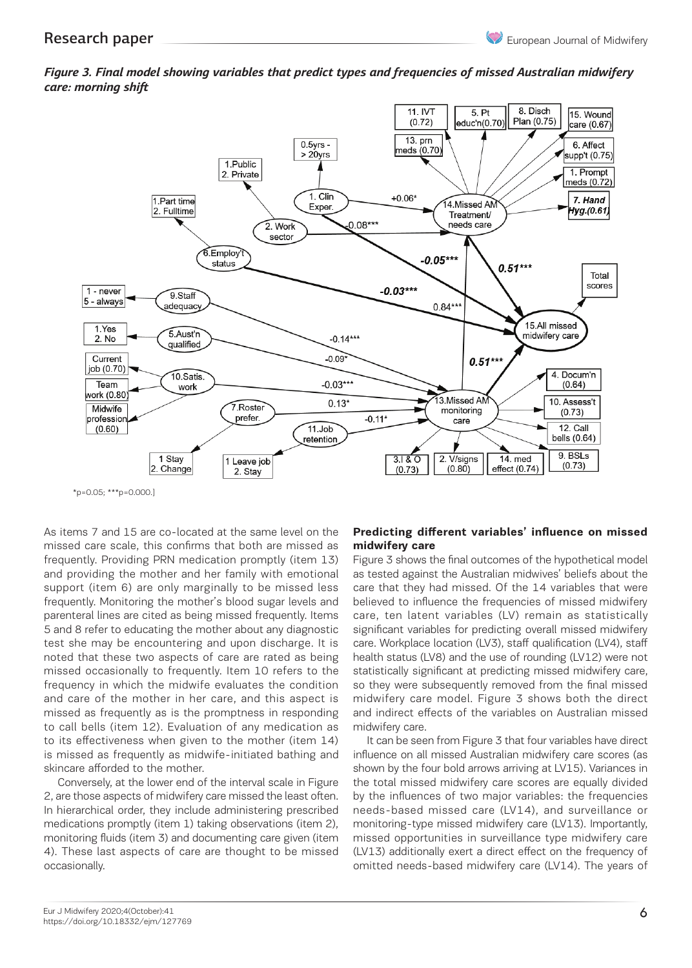

*Figure 3. Final model showing variables that predict types and frequencies of missed Australian midwifery care: morning shift* 

 $*p=0.05$ ;  $**p=0.000$ .]

As items 7 and 15 are co-located at the same level on the missed care scale, this confirms that both are missed as frequently. Providing PRN medication promptly (item 13) and providing the mother and her family with emotional support (item 6) are only marginally to be missed less frequently. Monitoring the mother's blood sugar levels and parenteral lines are cited as being missed frequently. Items 5 and 8 refer to educating the mother about any diagnostic test she may be encountering and upon discharge. It is noted that these two aspects of care are rated as being missed occasionally to frequently. Item 10 refers to the frequency in which the midwife evaluates the condition and care of the mother in her care, and this aspect is missed as frequently as is the promptness in responding to call bells (item 12). Evaluation of any medication as to its effectiveness when given to the mother (item 14) is missed as frequently as midwife-initiated bathing and skincare afforded to the mother.

Conversely, at the lower end of the interval scale in Figure 2, are those aspects of midwifery care missed the least often. In hierarchical order, they include administering prescribed medications promptly (item 1) taking observations (item 2), monitoring fluids (item 3) and documenting care given (item 4). These last aspects of care are thought to be missed occasionally.

### **Predicting different variables' influence on missed midwifery care**

Figure 3 shows the final outcomes of the hypothetical model as tested against the Australian midwives' beliefs about the care that they had missed. Of the 14 variables that were believed to influence the frequencies of missed midwifery care, ten latent variables (LV) remain as statistically significant variables for predicting overall missed midwifery care. Workplace location (LV3), staff qualification (LV4), staff health status (LV8) and the use of rounding (LV12) were not statistically significant at predicting missed midwifery care, so they were subsequently removed from the final missed midwifery care model. Figure 3 shows both the direct and indirect effects of the variables on Australian missed midwifery care.

It can be seen from Figure 3 that four variables have direct influence on all missed Australian midwifery care scores (as shown by the four bold arrows arriving at LV15). Variances in the total missed midwifery care scores are equally divided by the influences of two major variables: the frequencies needs-based missed care (LV14), and surveillance or monitoring-type missed midwifery care (LV13). Importantly, missed opportunities in surveillance type midwifery care (LV13) additionally exert a direct effect on the frequency of omitted needs-based midwifery care (LV14). The years of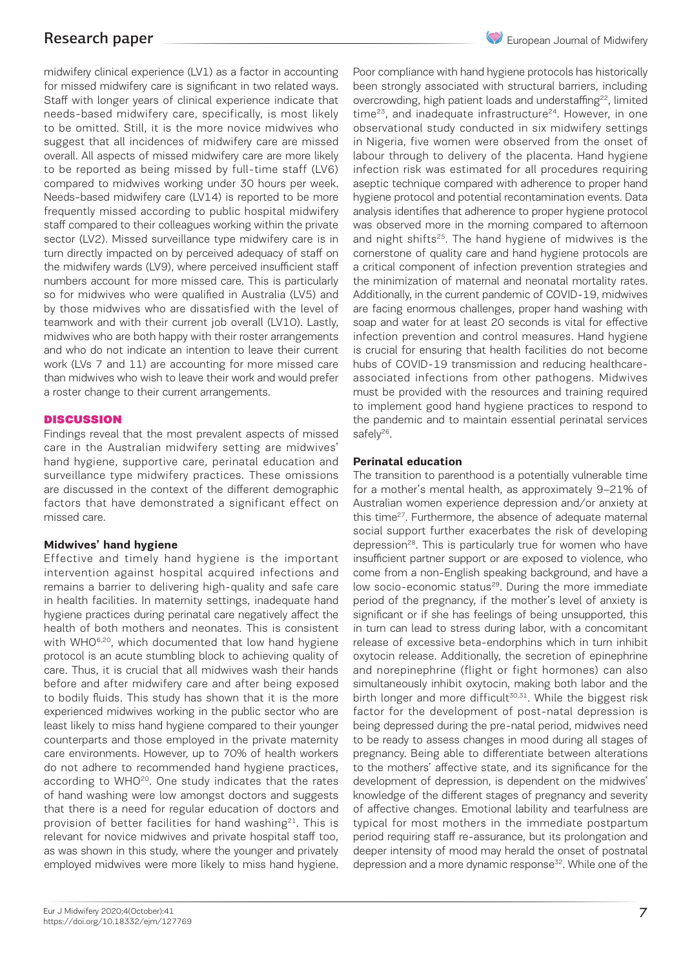midwifery clinical experience (LV1) as a factor in accounting for missed midwifery care is significant in two related ways. Staff with longer years of clinical experience indicate that needs-based midwifery care, specifically, is most likely to be omitted. Still, it is the more novice midwives who suggest that all incidences of midwifery care are missed overall. All aspects of missed midwifery care are more likely to be reported as being missed by full-time staff (LV6) compared to midwives working under 30 hours per week. Needs-based midwifery care (LV14) is reported to be more frequently missed according to public hospital midwifery staff compared to their colleagues working within the private sector (LV2). Missed surveillance type midwifery care is in turn directly impacted on by perceived adequacy of staff on the midwifery wards (LV9), where perceived insufficient staff numbers account for more missed care. This is particularly so for midwives who were qualified in Australia (LV5) and by those midwives who are dissatisfied with the level of teamwork and with their current job overall (LV10). Lastly, midwives who are both happy with their roster arrangements and who do not indicate an intention to leave their current work (LVs 7 and 11) are accounting for more missed care than midwives who wish to leave their work and would prefer a roster change to their current arrangements.

### **DISCUSSION**

Findings reveal that the most prevalent aspects of missed care in the Australian midwifery setting are midwives' hand hygiene, supportive care, perinatal education and surveillance type midwifery practices. These omissions are discussed in the context of the different demographic factors that have demonstrated a significant effect on missed care.

### **Midwives' hand hygiene**

Effective and timely hand hygiene is the important intervention against hospital acquired infections and remains a barrier to delivering high-quality and safe care in health facilities. In maternity settings, inadequate hand hygiene practices during perinatal care negatively affect the health of both mothers and neonates. This is consistent with WHO<sup>6,20</sup>, which documented that low hand hygiene protocol is an acute stumbling block to achieving quality of care. Thus, it is crucial that all midwives wash their hands before and after midwifery care and after being exposed to bodily fluids. This study has shown that it is the more experienced midwives working in the public sector who are least likely to miss hand hygiene compared to their younger counterparts and those employed in the private maternity care environments. However, up to 70% of health workers do not adhere to recommended hand hygiene practices, according to WHO<sup>20</sup>. One study indicates that the rates of hand washing were low amongst doctors and suggests that there is a need for regular education of doctors and provision of better facilities for hand washing<sup>21</sup>. This is relevant for novice midwives and private hospital staff too, as was shown in this study, where the younger and privately employed midwives were more likely to miss hand hygiene.

Poor compliance with hand hygiene protocols has historically been strongly associated with structural barriers, including overcrowding, high patient loads and understaffing<sup>22</sup>, limited time $23$ , and inadequate infrastructure $24$ . However, in one observational study conducted in six midwifery settings in Nigeria, five women were observed from the onset of labour through to delivery of the placenta. Hand hygiene infection risk was estimated for all procedures requiring aseptic technique compared with adherence to proper hand hygiene protocol and potential recontamination events. Data analysis identifies that adherence to proper hygiene protocol was observed more in the morning compared to afternoon and night shifts<sup>25</sup>. The hand hygiene of midwives is the cornerstone of quality care and hand hygiene protocols are a critical component of infection prevention strategies and the minimization of maternal and neonatal mortality rates. Additionally, in the current pandemic of COVID-19, midwives are facing enormous challenges, proper hand washing with soap and water for at least 20 seconds is vital for effective infection prevention and control measures. Hand hygiene is crucial for ensuring that health facilities do not become hubs of COVID-19 transmission and reducing healthcareassociated infections from other pathogens. Midwives must be provided with the resources and training required to implement good hand hygiene practices to respond to the pandemic and to maintain essential perinatal services safely<sup>26</sup>.

#### **Perinatal education**

The transition to parenthood is a potentially vulnerable time for a mother's mental health, as approximately 9–21% of Australian women experience depression and/or anxiety at this time27. Furthermore, the absence of adequate maternal social support further exacerbates the risk of developing depression<sup>28</sup>. This is particularly true for women who have insufficient partner support or are exposed to violence, who come from a non-English speaking background, and have a low socio-economic status<sup>29</sup>. During the more immediate period of the pregnancy, if the mother's level of anxiety is significant or if she has feelings of being unsupported, this in turn can lead to stress during labor, with a concomitant release of excessive beta-endorphins which in turn inhibit oxytocin release. Additionally, the secretion of epinephrine and norepinephrine (flight or fight hormones) can also simultaneously inhibit oxytocin, making both labor and the birth longer and more difficult $30,31$ . While the biggest risk factor for the development of post-natal depression is being depressed during the pre-natal period, midwives need to be ready to assess changes in mood during all stages of pregnancy. Being able to differentiate between alterations to the mothers' affective state, and its significance for the development of depression, is dependent on the midwives' knowledge of the different stages of pregnancy and severity of affective changes. Emotional lability and tearfulness are typical for most mothers in the immediate postpartum period requiring staff re-assurance, but its prolongation and deeper intensity of mood may herald the onset of postnatal depression and a more dynamic response<sup>32</sup>. While one of the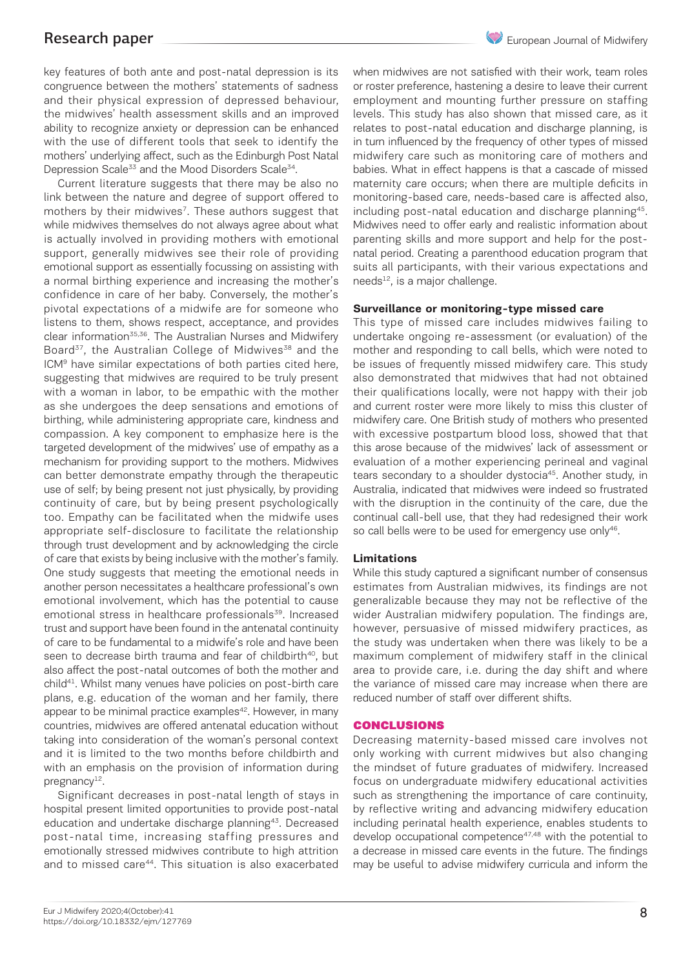# Research paper

key features of both ante and post-natal depression is its congruence between the mothers' statements of sadness and their physical expression of depressed behaviour, the midwives' health assessment skills and an improved ability to recognize anxiety or depression can be enhanced with the use of different tools that seek to identify the mothers' underlying affect, such as the Edinburgh Post Natal Depression Scale<sup>33</sup> and the Mood Disorders Scale<sup>34</sup>.

Current literature suggests that there may be also no link between the nature and degree of support offered to mothers by their midwives<sup>7</sup>. These authors suggest that while midwives themselves do not always agree about what is actually involved in providing mothers with emotional support, generally midwives see their role of providing emotional support as essentially focussing on assisting with a normal birthing experience and increasing the mother's confidence in care of her baby. Conversely, the mother's pivotal expectations of a midwife are for someone who listens to them, shows respect, acceptance, and provides clear information<sup>35,36</sup>. The Australian Nurses and Midwifery Board<sup>37</sup>, the Australian College of Midwives<sup>38</sup> and the ICM9 have similar expectations of both parties cited here, suggesting that midwives are required to be truly present with a woman in labor, to be empathic with the mother as she undergoes the deep sensations and emotions of birthing, while administering appropriate care, kindness and compassion. A key component to emphasize here is the targeted development of the midwives' use of empathy as a mechanism for providing support to the mothers. Midwives can better demonstrate empathy through the therapeutic use of self; by being present not just physically, by providing continuity of care, but by being present psychologically too. Empathy can be facilitated when the midwife uses appropriate self-disclosure to facilitate the relationship through trust development and by acknowledging the circle of care that exists by being inclusive with the mother's family. One study suggests that meeting the emotional needs in another person necessitates a healthcare professional's own emotional involvement, which has the potential to cause emotional stress in healthcare professionals<sup>39</sup>. Increased trust and support have been found in the antenatal continuity of care to be fundamental to a midwife's role and have been seen to decrease birth trauma and fear of childbirth<sup>40</sup>, but also affect the post-natal outcomes of both the mother and child41. Whilst many venues have policies on post-birth care plans, e.g. education of the woman and her family, there appear to be minimal practice examples<sup>42</sup>. However, in many countries, midwives are offered antenatal education without taking into consideration of the woman's personal context and it is limited to the two months before childbirth and with an emphasis on the provision of information during pregnancy $12$ .

Significant decreases in post-natal length of stays in hospital present limited opportunities to provide post-natal education and undertake discharge planning<sup>43</sup>. Decreased post-natal time, increasing staffing pressures and emotionally stressed midwives contribute to high attrition and to missed care<sup>44</sup>. This situation is also exacerbated

when midwives are not satisfied with their work, team roles or roster preference, hastening a desire to leave their current employment and mounting further pressure on staffing levels. This study has also shown that missed care, as it relates to post-natal education and discharge planning, is in turn influenced by the frequency of other types of missed midwifery care such as monitoring care of mothers and babies. What in effect happens is that a cascade of missed maternity care occurs; when there are multiple deficits in monitoring-based care, needs-based care is affected also, including post-natal education and discharge planning<sup>45</sup>. Midwives need to offer early and realistic information about parenting skills and more support and help for the postnatal period. Creating a parenthood education program that suits all participants, with their various expectations and  $needs<sup>12</sup>$ , is a major challenge.

#### **Surveillance or monitoring-type missed care**

This type of missed care includes midwives failing to undertake ongoing re-assessment (or evaluation) of the mother and responding to call bells, which were noted to be issues of frequently missed midwifery care. This study also demonstrated that midwives that had not obtained their qualifications locally, were not happy with their job and current roster were more likely to miss this cluster of midwifery care. One British study of mothers who presented with excessive postpartum blood loss, showed that that this arose because of the midwives' lack of assessment or evaluation of a mother experiencing perineal and vaginal tears secondary to a shoulder dystocia<sup>45</sup>. Another study, in Australia, indicated that midwives were indeed so frustrated with the disruption in the continuity of the care, due the continual call-bell use, that they had redesigned their work so call bells were to be used for emergency use only<sup>46</sup>.

#### **Limitations**

While this study captured a significant number of consensus estimates from Australian midwives, its findings are not generalizable because they may not be reflective of the wider Australian midwifery population. The findings are, however, persuasive of missed midwifery practices, as the study was undertaken when there was likely to be a maximum complement of midwifery staff in the clinical area to provide care, i.e. during the day shift and where the variance of missed care may increase when there are reduced number of staff over different shifts.

#### CONCLUSIONS

Decreasing maternity-based missed care involves not only working with current midwives but also changing the mindset of future graduates of midwifery. Increased focus on undergraduate midwifery educational activities such as strengthening the importance of care continuity, by reflective writing and advancing midwifery education including perinatal health experience, enables students to develop occupational competence<sup>47,48</sup> with the potential to a decrease in missed care events in the future. The findings may be useful to advise midwifery curricula and inform the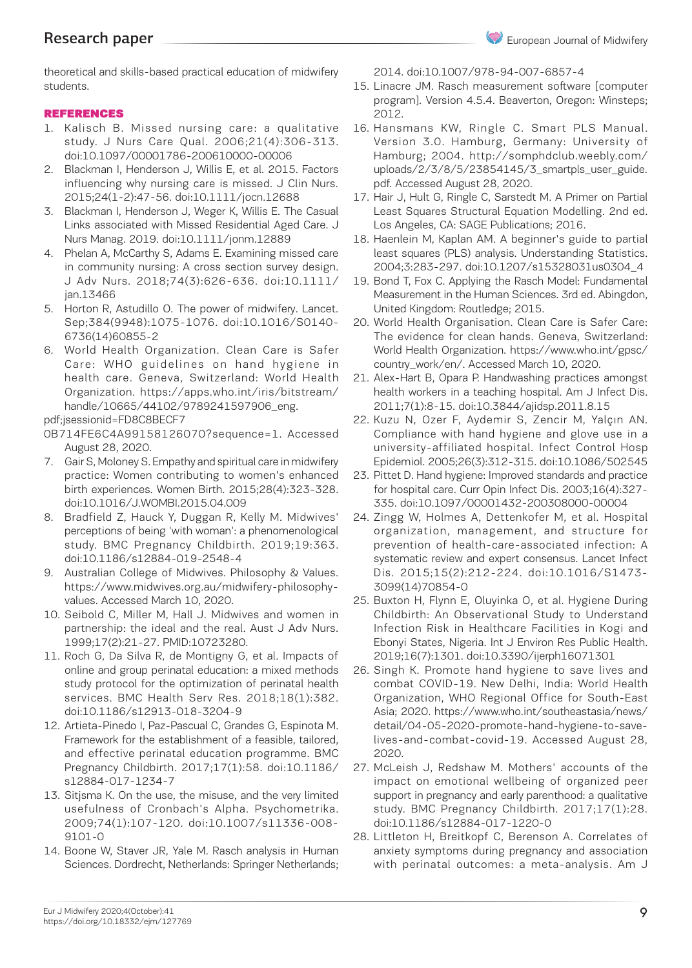theoretical and skills-based practical education of midwifery students.

### REFERENCES

- 1. Kalisch B. Missed nursing care: a qualitative study. J Nurs Care Qual. 2006;21(4):306-313. doi:10.1097/00001786-200610000-00006
- 2. Blackman I, Henderson J, Willis E, et al. 2015. Factors influencing why nursing care is missed. J Clin Nurs. 2015;24(1-2):47-56. doi:10.1111/jocn.12688
- 3. Blackman I, Henderson J, Weger K, Willis E. The Casual Links associated with Missed Residential Aged Care. J Nurs Manag. 2019. doi:10.1111/jonm.12889
- 4. Phelan A, McCarthy S, Adams E. Examining missed care in community nursing: A cross section survey design. J Adv Nurs. 2018;74(3):626-636. doi:10.1111/ jan.13466
- 5. Horton R, Astudillo O. The power of midwifery. Lancet. Sep;384(9948):1075-1076. doi:10.1016/S0140- 6736(14)60855-2
- 6. World Health Organization. Clean Care is Safer Care: WHO guidelines on hand hygiene in health care. Geneva, Switzerland: World Health Organization. https://apps.who.int/iris/bitstream/ handle/10665/44102/9789241597906\_eng.

pdf;jsessionid=FD8C8BECF7

- 0B714FE6C4A99158126070?sequence=1. Accessed August 28, 2020.
- 7. Gair S, Moloney S. Empathy and spiritual care in midwifery practice: Women contributing to women's enhanced birth experiences. Women Birth. 2015;28(4):323-328. doi:10.1016/J.WOMBI.2015.04.009
- 8. Bradfield Z, Hauck Y, Duggan R, Kelly M. Midwives' perceptions of being 'with woman': a phenomenological study. BMC Pregnancy Childbirth. 2019;19:363. doi:10.1186/s12884-019-2548-4
- 9. Australian College of Midwives. Philosophy & Values. https://www.midwives.org.au/midwifery-philosophyvalues. Accessed March 10, 2020.
- 10. Seibold C, Miller M, Hall J. Midwives and women in partnership: the ideal and the real. Aust J Adv Nurs. 1999;17(2):21-27. PMID:10723280.
- 11. Roch G, Da Silva R, de Montigny G, et al. Impacts of online and group perinatal education: a mixed methods study protocol for the optimization of perinatal health services. BMC Health Serv Res. 2018;18(1):382. doi:10.1186/s12913-018-3204-9
- 12. Artieta-Pinedo I, Paz-Pascual C, Grandes G, Espinota M. Framework for the establishment of a feasible, tailored, and effective perinatal education programme. BMC Pregnancy Childbirth. 2017;17(1):58. doi:10.1186/ s12884-017-1234-7
- 13. Sitjsma K. On the use, the misuse, and the very limited usefulness of Cronbach's Alpha. Psychometrika. 2009;74(1):107-120. doi:10.1007/s11336-008- 9101-0
- 14. Boone W, Staver JR, Yale M. Rasch analysis in Human Sciences. Dordrecht, Netherlands: Springer Netherlands;

2014. doi:10.1007/978-94-007-6857-4

- 15. Linacre JM. Rasch measurement software [computer program]. Version 4.5.4. Beaverton, Oregon: Winsteps; 2012.
- 16. Hansmans KW, Ringle C. Smart PLS Manual. Version 3.0. Hamburg, Germany: University of Hamburg; 2004. http://somphdclub.weebly.com/ uploads/2/3/8/5/23854145/3\_smartpls\_user\_guide. pdf. Accessed August 28, 2020.
- 17. Hair J, Hult G, Ringle C, Sarstedt M. A Primer on Partial Least Squares Structural Equation Modelling. 2nd ed. Los Angeles, CA: SAGE Publications; 2016.
- 18. Haenlein M, Kaplan AM. A beginner's guide to partial least squares (PLS) analysis. Understanding Statistics. 2004;3:283-297. doi:10.1207/s15328031us0304\_4
- 19. Bond T, Fox C. Applying the Rasch Model: Fundamental Measurement in the Human Sciences. 3rd ed. Abingdon, United Kingdom: Routledge; 2015.
- 20. World Health Organisation. Clean Care is Safer Care: The evidence for clean hands. Geneva, Switzerland: World Health Organization. https://www.who.int/gpsc/ country\_work/en/. Accessed March 10, 2020.
- 21. Alex-Hart B, Opara P. Handwashing practices amongst health workers in a teaching hospital. Am J Infect Dis. 2011;7(1):8-15. doi:10.3844/ajidsp.2011.8.15
- 22. Kuzu N, Ozer F, Aydemir S, Zencir M, Yalçın AN. Compliance with hand hygiene and glove use in a university-affiliated hospital. Infect Control Hosp Epidemiol. 2005;26(3):312-315. doi:10.1086/502545
- 23. Pittet D. Hand hygiene: Improved standards and practice for hospital care. Curr Opin Infect Dis. 2003;16(4):327- 335. doi:10.1097/00001432-200308000-00004
- 24. Zingg W, Holmes A, Dettenkofer M, et al. Hospital organization, management, and structure for prevention of health-care-associated infection: A systematic review and expert consensus. Lancet Infect Dis. 2015;15(2):212-224. doi:10.1016/S1473- 3099(14)70854-0
- 25. Buxton H, Flynn E, Oluyinka O, et al. Hygiene During Childbirth: An Observational Study to Understand Infection Risk in Healthcare Facilities in Kogi and Ebonyi States, Nigeria. Int J Environ Res Public Health. 2019;16(7):1301. doi:10.3390/ijerph16071301
- 26. Singh K. Promote hand hygiene to save lives and combat COVID-19. New Delhi, India: World Health Organization, WHO Regional Office for South-East Asia; 2020. https://www.who.int/southeastasia/news/ detail/04-05-2020-promote-hand-hygiene-to-savelives-and-combat-covid-19. Accessed August 28, 2020.
- 27. McLeish J, Redshaw M. Mothers' accounts of the impact on emotional wellbeing of organized peer support in pregnancy and early parenthood: a qualitative study. BMC Pregnancy Childbirth. 2017;17(1):28. doi:10.1186/s12884-017-1220-0
- 28. Littleton H, Breitkopf C, Berenson A. Correlates of anxiety symptoms during pregnancy and association with perinatal outcomes: a meta-analysis. Am J